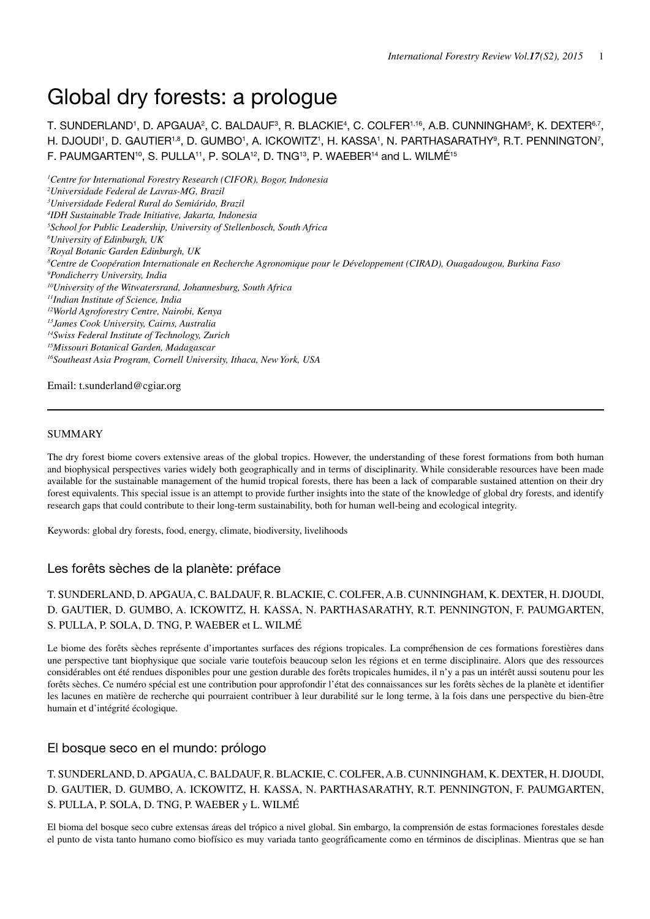# Global dry forests: a prologue

T. SUNDERLAND', D. APGAUA², C. BALDAUF $^3$ , R. BLACKIE $^4$ , C. COLFER' $^{1,16}$ , A.B. CUNNINGHAM $^5$ , K. DEXTER $^{6,7},$ H. DJOUDI', D. GAUTIER'<sup>.8</sup>, D. GUMBO', A. ICKOWITZ', H. KASSA', N. PARTHASARATHYº, R.T. PENNINGTON<sup>7</sup>, F. PAUMGARTEN<sup>10</sup>, S. PULLA<sup>11</sup>, P. SOLA<sup>12</sup>, D. TNG<sup>13</sup>, P. WAEBER<sup>14</sup> and L. WILME<sup>15</sup>

*1 Centre for International Forestry Research (CIFOR), Bogor, Indonesia 2 Universidade Federal de Lavras-MG, Brazil 3 Universidade Federal Rural do Semiárido, Brazil 4 IDH Sustainable Trade Initiative, Jakarta, Indonesia 5 School for Public Leadership, University of Stellenbosch, South Africa 6 University of Edinburgh, UK 7 Royal Botanic Garden Edinburgh, UK 8 Centre de Coopération Internationale en Recherche Agronomique pour le Développement (CIRAD), Ouagadougou, Burkina Faso 9 Pondicherry University, India 10University of the Witwatersrand, Johannesburg, South Africa 11Indian Institute of Science, India 12World Agroforestry Centre, Nairobi, Kenya 13James Cook University, Cairns, Australia 14Swiss Federal Institute of Technology, Zurich 15Missouri Botanical Garden, Madagascar 16Southeast Asia Program, Cornell University, Ithaca, New York, USA*

Email: t.sunderland@cgiar.org

#### SUMMARY

The dry forest biome covers extensive areas of the global tropics. However, the understanding of these forest formations from both human and biophysical perspectives varies widely both geographically and in terms of disciplinarity. While considerable resources have been made available for the sustainable management of the humid tropical forests, there has been a lack of comparable sustained attention on their dry forest equivalents. This special issue is an attempt to provide further insights into the state of the knowledge of global dry forests, and identify research gaps that could contribute to their long-term sustainability, both for human well-being and ecological integrity.

Keywords: global dry forests, food, energy, climate, biodiversity, livelihoods

# Les forêts sèches de la planète: préface

# T. SUNDERLAND, D. APGAUA, C. BALDAUF, R. BLACKIE, C. COLFER, A.B. CUNNINGHAM, K. DEXTER, H. DJOUDI, D. GAUTIER, D. GUMBO, A. ICKOWITZ, H. KASSA, N. PARTHASARATHY, R.T. PENNINGTON, F. PAUMGARTEN, S. PULLA, P. SOLA, D. TNG, P. WAEBER et L. WILMÉ

Le biome des forêts sèches représente d'importantes surfaces des régions tropicales. La compréhension de ces formations forestières dans une perspective tant biophysique que sociale varie toutefois beaucoup selon les régions et en terme disciplinaire. Alors que des ressources considérables ont été rendues disponibles pour une gestion durable des forêts tropicales humides, il n'y a pas un intérêt aussi soutenu pour les forêts sèches. Ce numéro spécial est une contribution pour approfondir l'état des connaissances sur les forêts sèches de la planète et identifier les lacunes en matière de recherche qui pourraient contribuer à leur durabilité sur le long terme, à la fois dans une perspective du bien-être humain et d'intégrité écologique.

# El bosque seco en el mundo: prólogo

# T. SUNDERLAND, D. APGAUA, C. BALDAUF, R. BLACKIE, C. COLFER, A.B. CUNNINGHAM, K. DEXTER, H. DJOUDI, D. GAUTIER, D. GUMBO, A. ICKOWITZ, H. KASSA, N. PARTHASARATHY, R.T. PENNINGTON, F. PAUMGARTEN, S. PULLA, P. SOLA, D. TNG, P. WAEBER y L. WILMÉ

El bioma del bosque seco cubre extensas áreas del trópico a nivel global. Sin embargo, la comprensión de estas formaciones forestales desde el punto de vista tanto humano como biofísico es muy variada tanto geográficamente como en términos de disciplinas. Mientras que se han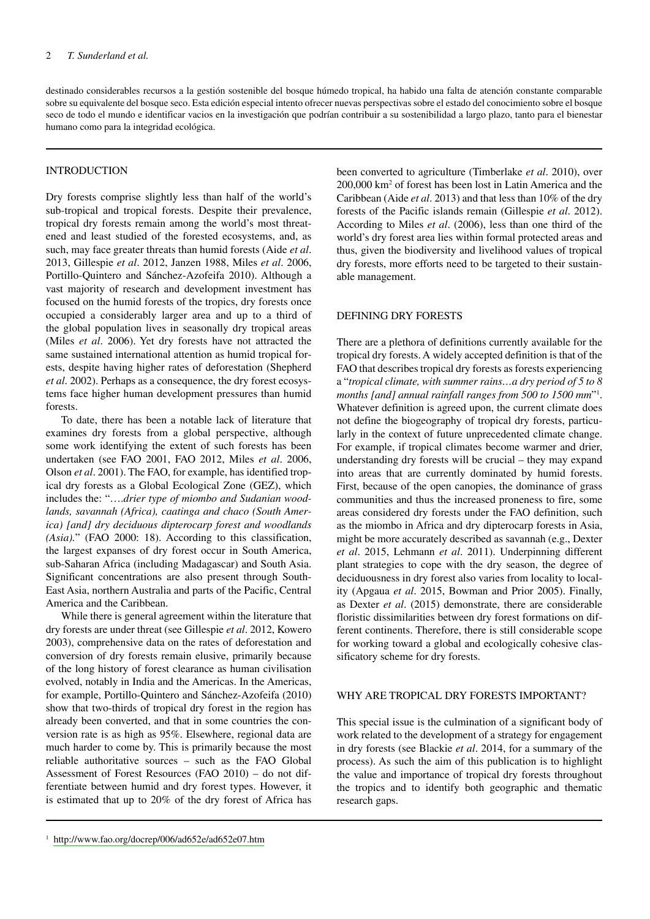destinado considerables recursos a la gestión sostenible del bosque húmedo tropical, ha habido una falta de atención constante comparable sobre su equivalente del bosque seco. Esta edición especial intento ofrecer nuevas perspectivas sobre el estado del conocimiento sobre el bosque seco de todo el mundo e identificar vacios en la investigación que podrían contribuir a su sostenibilidad a largo plazo, tanto para el bienestar humano como para la integridad ecológica.

## INTRODUCTION

Dry forests comprise slightly less than half of the world's sub-tropical and tropical forests. Despite their prevalence, tropical dry forests remain among the world's most threatened and least studied of the forested ecosystems, and, as such, may face greater threats than humid forests (Aide *et al*. 2013, Gillespie *et al*. 2012, Janzen 1988, Miles *et al*. 2006, Portillo-Quintero and Sánchez-Azofeifa 2010). Although a vast majority of research and development investment has focused on the humid forests of the tropics, dry forests once occupied a considerably larger area and up to a third of the global population lives in seasonally dry tropical areas (Miles *et al*. 2006). Yet dry forests have not attracted the same sustained international attention as humid tropical forests, despite having higher rates of deforestation (Shepherd *et al*. 2002). Perhaps as a consequence, the dry forest ecosystems face higher human development pressures than humid forests.

To date, there has been a notable lack of literature that examines dry forests from a global perspective, although some work identifying the extent of such forests has been undertaken (see FAO 2001, FAO 2012, Miles *et al*. 2006, Olson *et al*. 2001). The FAO, for example, has identified tropical dry forests as a Global Ecological Zone (GEZ), which includes the: "….*drier type of miombo and Sudanian woodlands, savannah (Africa), caatinga and chaco (South America) [and] dry deciduous dipterocarp forest and woodlands (Asia).*" (FAO 2000: 18). According to this classification, the largest expanses of dry forest occur in South America, sub-Saharan Africa (including Madagascar) and South Asia. Significant concentrations are also present through South-East Asia, northern Australia and parts of the Pacific, Central America and the Caribbean.

While there is general agreement within the literature that dry forests are under threat (see Gillespie *et al*. 2012, Kowero 2003), comprehensive data on the rates of deforestation and conversion of dry forests remain elusive, primarily because of the long history of forest clearance as human civilisation evolved, notably in India and the Americas. In the Americas, for example, Portillo-Quintero and Sánchez-Azofeifa (2010) show that two-thirds of tropical dry forest in the region has already been converted, and that in some countries the conversion rate is as high as 95%. Elsewhere, regional data are much harder to come by. This is primarily because the most reliable authoritative sources – such as the FAO Global Assessment of Forest Resources (FAO 2010) – do not differentiate between humid and dry forest types. However, it is estimated that up to 20% of the dry forest of Africa has

been converted to agriculture (Timberlake *et al*. 2010), over 200,000 km2 of forest has been lost in Latin America and the Caribbean (Aide *et al*. 2013) and that less than 10% of the dry forests of the Pacific islands remain (Gillespie *et al*. 2012). According to Miles *et al*. (2006), less than one third of the world's dry forest area lies within formal protected areas and thus, given the biodiversity and livelihood values of tropical dry forests, more efforts need to be targeted to their sustainable management.

## DEFINING DRY FORESTS

There are a plethora of definitions currently available for the tropical dry forests. A widely accepted definition is that of the FAO that describes tropical dry forests as forests experiencing a "*tropical climate, with summer rains…a dry period of 5 to 8 months [and] annual rainfall ranges from 500 to 1500 mm*"1 . Whatever definition is agreed upon, the current climate does not define the biogeography of tropical dry forests, particularly in the context of future unprecedented climate change. For example, if tropical climates become warmer and drier, understanding dry forests will be crucial – they may expand into areas that are currently dominated by humid forests. First, because of the open canopies, the dominance of grass communities and thus the increased proneness to fire, some areas considered dry forests under the FAO definition, such as the miombo in Africa and dry dipterocarp forests in Asia, might be more accurately described as savannah (e.g., Dexter *et al*. 2015, Lehmann *et al*. 2011). Underpinning different plant strategies to cope with the dry season, the degree of deciduousness in dry forest also varies from locality to locality (Apgaua *et al*. 2015, Bowman and Prior 2005). Finally, as Dexter *et al*. (2015) demonstrate, there are considerable floristic dissimilarities between dry forest formations on different continents. Therefore, there is still considerable scope for working toward a global and ecologically cohesive classificatory scheme for dry forests.

## WHY ARE TROPICAL DRY FORESTS IMPORTANT?

This special issue is the culmination of a significant body of work related to the development of a strategy for engagement in dry forests (see Blackie *et al*. 2014, for a summary of the process). As such the aim of this publication is to highlight the value and importance of tropical dry forests throughout the tropics and to identify both geographic and thematic research gaps.

<sup>1</sup> <http://www.fao.org/docrep/006/ad652e/ad652e07.htm>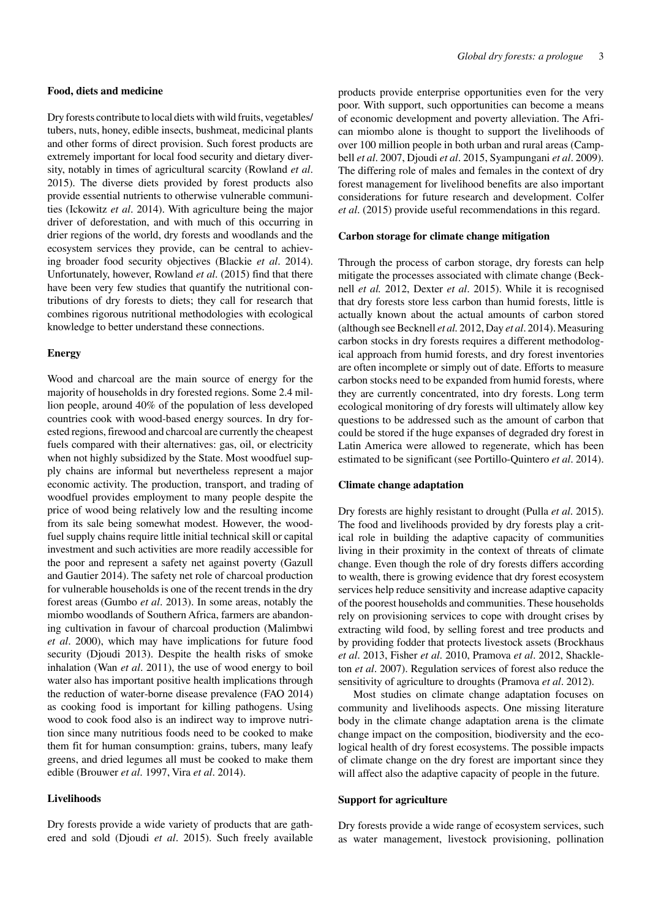#### **Food, diets and medicine**

Dry forests contribute to local diets with wild fruits, vegetables/ tubers, nuts, honey, edible insects, bushmeat, medicinal plants and other forms of direct provision. Such forest products are extremely important for local food security and dietary diversity, notably in times of agricultural scarcity (Rowland *et al*. 2015). The diverse diets provided by forest products also provide essential nutrients to otherwise vulnerable communities (Ickowitz *et al*. 2014). With agriculture being the major driver of deforestation, and with much of this occurring in drier regions of the world, dry forests and woodlands and the ecosystem services they provide, can be central to achieving broader food security objectives (Blackie *et al*. 2014). Unfortunately, however, Rowland *et al*. (2015) find that there have been very few studies that quantify the nutritional contributions of dry forests to diets; they call for research that combines rigorous nutritional methodologies with ecological knowledge to better understand these connections.

#### **Energy**

Wood and charcoal are the main source of energy for the majority of households in dry forested regions. Some 2.4 million people, around 40% of the population of less developed countries cook with wood-based energy sources. In dry forested regions, firewood and charcoal are currently the cheapest fuels compared with their alternatives: gas, oil, or electricity when not highly subsidized by the State. Most woodfuel supply chains are informal but nevertheless represent a major economic activity. The production, transport, and trading of woodfuel provides employment to many people despite the price of wood being relatively low and the resulting income from its sale being somewhat modest. However, the woodfuel supply chains require little initial technical skill or capital investment and such activities are more readily accessible for the poor and represent a safety net against poverty (Gazull and Gautier 2014). The safety net role of charcoal production for vulnerable households is one of the recent trends in the dry forest areas (Gumbo *et al*. 2013). In some areas, notably the miombo woodlands of Southern Africa, farmers are abandoning cultivation in favour of charcoal production (Malimbwi *et al*. 2000), which may have implications for future food security (Djoudi 2013). Despite the health risks of smoke inhalation (Wan *et al*. 2011), the use of wood energy to boil water also has important positive health implications through the reduction of water-borne disease prevalence (FAO 2014) as cooking food is important for killing pathogens. Using wood to cook food also is an indirect way to improve nutrition since many nutritious foods need to be cooked to make them fit for human consumption: grains, tubers, many leafy greens, and dried legumes all must be cooked to make them edible (Brouwer *et al*. 1997, Vira *et al*. 2014).

#### **Livelihoods**

products provide enterprise opportunities even for the very poor. With support, such opportunities can become a means of economic development and poverty alleviation. The African miombo alone is thought to support the livelihoods of over 100 million people in both urban and rural areas (Campbell *et al*. 2007, Djoudi *et al*. 2015, Syampungani *et al*. 2009). The differing role of males and females in the context of dry forest management for livelihood benefits are also important considerations for future research and development. Colfer *et al*. (2015) provide useful recommendations in this regard.

## **Carbon storage for climate change mitigation**

Through the process of carbon storage, dry forests can help mitigate the processes associated with climate change (Becknell *et al.* 2012, Dexter *et al*. 2015). While it is recognised that dry forests store less carbon than humid forests, little is actually known about the actual amounts of carbon stored (although see Becknell *et al.* 2012, Day *et al*. 2014). Measuring carbon stocks in dry forests requires a different methodological approach from humid forests, and dry forest inventories are often incomplete or simply out of date. Efforts to measure carbon stocks need to be expanded from humid forests, where they are currently concentrated, into dry forests. Long term ecological monitoring of dry forests will ultimately allow key questions to be addressed such as the amount of carbon that could be stored if the huge expanses of degraded dry forest in Latin America were allowed to regenerate, which has been estimated to be significant (see Portillo-Quintero *et al*. 2014).

## **Climate change adaptation**

Dry forests are highly resistant to drought (Pulla *et al*. 2015). The food and livelihoods provided by dry forests play a critical role in building the adaptive capacity of communities living in their proximity in the context of threats of climate change. Even though the role of dry forests differs according to wealth, there is growing evidence that dry forest ecosystem services help reduce sensitivity and increase adaptive capacity of the poorest households and communities. These households rely on provisioning services to cope with drought crises by extracting wild food, by selling forest and tree products and by providing fodder that protects livestock assets (Brockhaus *et al*. 2013, Fisher *et al*. 2010, Pramova *et al*. 2012, Shackleton *et al*. 2007). Regulation services of forest also reduce the sensitivity of agriculture to droughts (Pramova *et al*. 2012).

Most studies on climate change adaptation focuses on community and livelihoods aspects. One missing literature body in the climate change adaptation arena is the climate change impact on the composition, biodiversity and the ecological health of dry forest ecosystems. The possible impacts of climate change on the dry forest are important since they will affect also the adaptive capacity of people in the future.

## **Support for agriculture**

Dry forests provide a wide variety of products that are gathered and sold (Djoudi *et al*. 2015). Such freely available Dry forests provide a wide range of ecosystem services, such as water management, livestock provisioning, pollination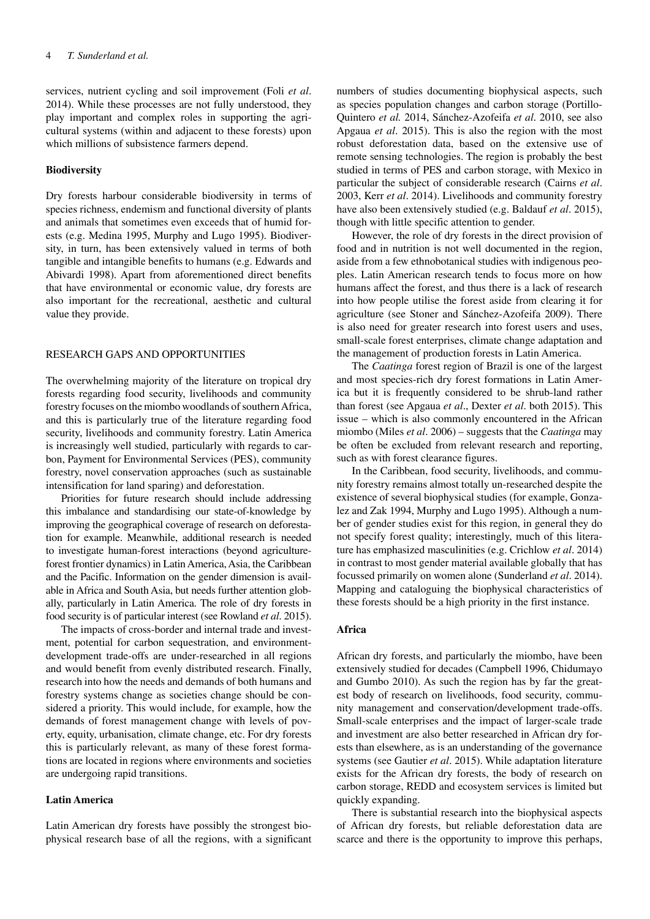services, nutrient cycling and soil improvement (Foli *et al*. 2014). While these processes are not fully understood, they play important and complex roles in supporting the agricultural systems (within and adjacent to these forests) upon which millions of subsistence farmers depend.

#### **Biodiversity**

Dry forests harbour considerable biodiversity in terms of species richness, endemism and functional diversity of plants and animals that sometimes even exceeds that of humid forests (e.g. Medina 1995, Murphy and Lugo 1995). Biodiversity, in turn, has been extensively valued in terms of both tangible and intangible benefits to humans (e.g. Edwards and Abivardi 1998). Apart from aforementioned direct benefits that have environmental or economic value, dry forests are also important for the recreational, aesthetic and cultural value they provide.

#### RESEARCH GAPS AND OPPORTUNITIES

The overwhelming majority of the literature on tropical dry forests regarding food security, livelihoods and community forestry focuses on the miombo woodlands of southern Africa, and this is particularly true of the literature regarding food security, livelihoods and community forestry. Latin America is increasingly well studied, particularly with regards to carbon, Payment for Environmental Services (PES), community forestry, novel conservation approaches (such as sustainable intensification for land sparing) and deforestation.

Priorities for future research should include addressing this imbalance and standardising our state-of-knowledge by improving the geographical coverage of research on deforestation for example. Meanwhile, additional research is needed to investigate human-forest interactions (beyond agricultureforest frontier dynamics) in Latin America, Asia, the Caribbean and the Pacific. Information on the gender dimension is available in Africa and South Asia, but needs further attention globally, particularly in Latin America. The role of dry forests in food security is of particular interest (see Rowland *et al*. 2015).

The impacts of cross-border and internal trade and investment, potential for carbon sequestration, and environmentdevelopment trade-offs are under-researched in all regions and would benefit from evenly distributed research. Finally, research into how the needs and demands of both humans and forestry systems change as societies change should be considered a priority. This would include, for example, how the demands of forest management change with levels of poverty, equity, urbanisation, climate change, etc. For dry forests this is particularly relevant, as many of these forest formations are located in regions where environments and societies are undergoing rapid transitions.

## **Latin America**

Latin American dry forests have possibly the strongest biophysical research base of all the regions, with a significant numbers of studies documenting biophysical aspects, such as species population changes and carbon storage (Portillo-Quintero *et al.* 2014, Sánchez-Azofeifa *et al*. 2010, see also Apgaua *et al*. 2015). This is also the region with the most robust deforestation data, based on the extensive use of remote sensing technologies. The region is probably the best studied in terms of PES and carbon storage, with Mexico in particular the subject of considerable research (Cairns *et al*. 2003, Kerr *et al*. 2014). Livelihoods and community forestry have also been extensively studied (e.g. Baldauf *et al*. 2015), though with little specific attention to gender.

However, the role of dry forests in the direct provision of food and in nutrition is not well documented in the region, aside from a few ethnobotanical studies with indigenous peoples. Latin American research tends to focus more on how humans affect the forest, and thus there is a lack of research into how people utilise the forest aside from clearing it for agriculture (see Stoner and Sánchez-Azofeifa 2009). There is also need for greater research into forest users and uses, small-scale forest enterprises, climate change adaptation and the management of production forests in Latin America.

The *Caatinga* forest region of Brazil is one of the largest and most species-rich dry forest formations in Latin America but it is frequently considered to be shrub-land rather than forest (see Apgaua *et al*., Dexter *et al*. both 2015). This issue – which is also commonly encountered in the African miombo (Miles *et al*. 2006) – suggests that the *Caatinga* may be often be excluded from relevant research and reporting, such as with forest clearance figures.

In the Caribbean, food security, livelihoods, and community forestry remains almost totally un-researched despite the existence of several biophysical studies (for example, Gonzalez and Zak 1994, Murphy and Lugo 1995). Although a number of gender studies exist for this region, in general they do not specify forest quality; interestingly, much of this literature has emphasized masculinities (e.g. Crichlow *et al*. 2014) in contrast to most gender material available globally that has focussed primarily on women alone (Sunderland *et al*. 2014). Mapping and cataloguing the biophysical characteristics of these forests should be a high priority in the first instance.

#### **Africa**

African dry forests, and particularly the miombo, have been extensively studied for decades (Campbell 1996, Chidumayo and Gumbo 2010). As such the region has by far the greatest body of research on livelihoods, food security, community management and conservation/development trade-offs. Small-scale enterprises and the impact of larger-scale trade and investment are also better researched in African dry forests than elsewhere, as is an understanding of the governance systems (see Gautier *et al*. 2015). While adaptation literature exists for the African dry forests, the body of research on carbon storage, REDD and ecosystem services is limited but quickly expanding.

There is substantial research into the biophysical aspects of African dry forests, but reliable deforestation data are scarce and there is the opportunity to improve this perhaps,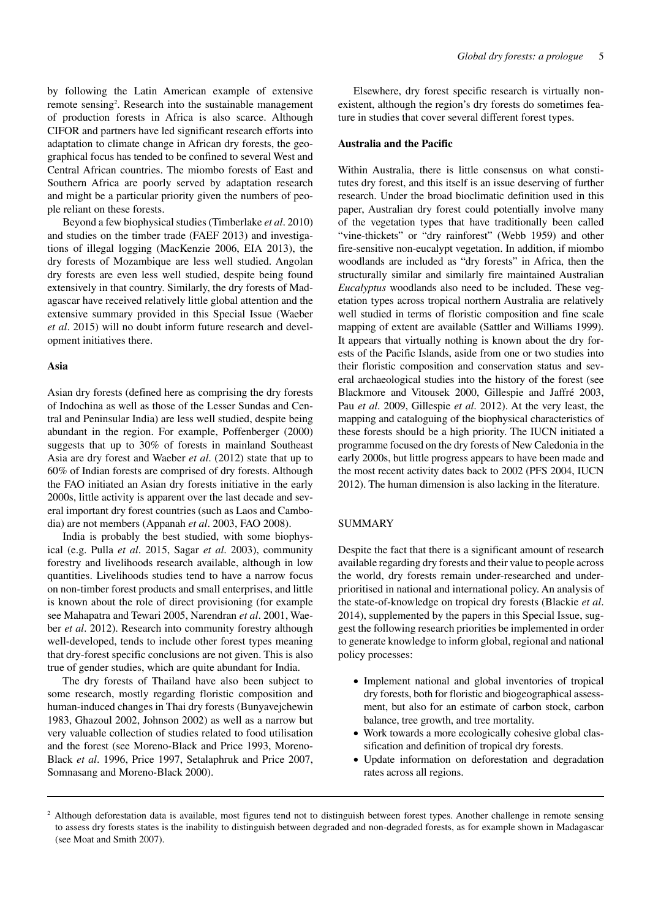by following the Latin American example of extensive remote sensing<sup>2</sup>. Research into the sustainable management of production forests in Africa is also scarce. Although CIFOR and partners have led significant research efforts into adaptation to climate change in African dry forests, the geographical focus has tended to be confined to several West and Central African countries. The miombo forests of East and Southern Africa are poorly served by adaptation research and might be a particular priority given the numbers of people reliant on these forests.

Beyond a few biophysical studies (Timberlake *et al*. 2010) and studies on the timber trade (FAEF 2013) and investigations of illegal logging (MacKenzie 2006, EIA 2013), the dry forests of Mozambique are less well studied. Angolan dry forests are even less well studied, despite being found extensively in that country. Similarly, the dry forests of Madagascar have received relatively little global attention and the extensive summary provided in this Special Issue (Waeber *et al*. 2015) will no doubt inform future research and development initiatives there.

## **Asia**

Asian dry forests (defined here as comprising the dry forests of Indochina as well as those of the Lesser Sundas and Central and Peninsular India) are less well studied, despite being abundant in the region. For example, Poffenberger (2000) suggests that up to 30% of forests in mainland Southeast Asia are dry forest and Waeber *et al*. (2012) state that up to 60% of Indian forests are comprised of dry forests. Although the FAO initiated an Asian dry forests initiative in the early 2000s, little activity is apparent over the last decade and several important dry forest countries (such as Laos and Cambodia) are not members (Appanah *et al*. 2003, FAO 2008).

India is probably the best studied, with some biophysical (e.g. Pulla *et al*. 2015, Sagar *et al*. 2003), community forestry and livelihoods research available, although in low quantities. Livelihoods studies tend to have a narrow focus on non-timber forest products and small enterprises, and little is known about the role of direct provisioning (for example see Mahapatra and Tewari 2005, Narendran *et al*. 2001, Waeber *et al*. 2012). Research into community forestry although well-developed, tends to include other forest types meaning that dry-forest specific conclusions are not given. This is also true of gender studies, which are quite abundant for India.

The dry forests of Thailand have also been subject to some research, mostly regarding floristic composition and human-induced changes in Thai dry forests (Bunyavejchewin 1983, Ghazoul 2002, Johnson 2002) as well as a narrow but very valuable collection of studies related to food utilisation and the forest (see Moreno-Black and Price 1993, Moreno-Black *et al*. 1996, Price 1997, Setalaphruk and Price 2007, Somnasang and Moreno-Black 2000).

Elsewhere, dry forest specific research is virtually nonexistent, although the region's dry forests do sometimes feature in studies that cover several different forest types.

#### **Australia and the Pacific**

Within Australia, there is little consensus on what constitutes dry forest, and this itself is an issue deserving of further research. Under the broad bioclimatic definition used in this paper, Australian dry forest could potentially involve many of the vegetation types that have traditionally been called "vine-thickets" or "dry rainforest" (Webb 1959) and other fire-sensitive non-eucalypt vegetation. In addition, if miombo woodlands are included as "dry forests" in Africa, then the structurally similar and similarly fire maintained Australian *Eucalyptus* woodlands also need to be included. These vegetation types across tropical northern Australia are relatively well studied in terms of floristic composition and fine scale mapping of extent are available (Sattler and Williams 1999). It appears that virtually nothing is known about the dry forests of the Pacific Islands, aside from one or two studies into their floristic composition and conservation status and several archaeological studies into the history of the forest (see Blackmore and Vitousek 2000, Gillespie and Jaffré 2003, Pau *et al*. 2009, Gillespie *et al*. 2012). At the very least, the mapping and cataloguing of the biophysical characteristics of these forests should be a high priority. The IUCN initiated a programme focused on the dry forests of New Caledonia in the early 2000s, but little progress appears to have been made and the most recent activity dates back to 2002 (PFS 2004, IUCN 2012). The human dimension is also lacking in the literature.

## SUMMARY

Despite the fact that there is a significant amount of research available regarding dry forests and their value to people across the world, dry forests remain under-researched and underprioritised in national and international policy. An analysis of the state-of-knowledge on tropical dry forests (Blackie *et al*. 2014), supplemented by the papers in this Special Issue, suggest the following research priorities be implemented in order to generate knowledge to inform global, regional and national policy processes:

- Implement national and global inventories of tropical dry forests, both for floristic and biogeographical assessment, but also for an estimate of carbon stock, carbon balance, tree growth, and tree mortality.
- Work towards a more ecologically cohesive global classification and definition of tropical dry forests.
- Update information on deforestation and degradation rates across all regions.

<sup>&</sup>lt;sup>2</sup> Although deforestation data is available, most figures tend not to distinguish between forest types. Another challenge in remote sensing to assess dry forests states is the inability to distinguish between degraded and non-degraded forests, as for example shown in Madagascar (see Moat and Smith 2007).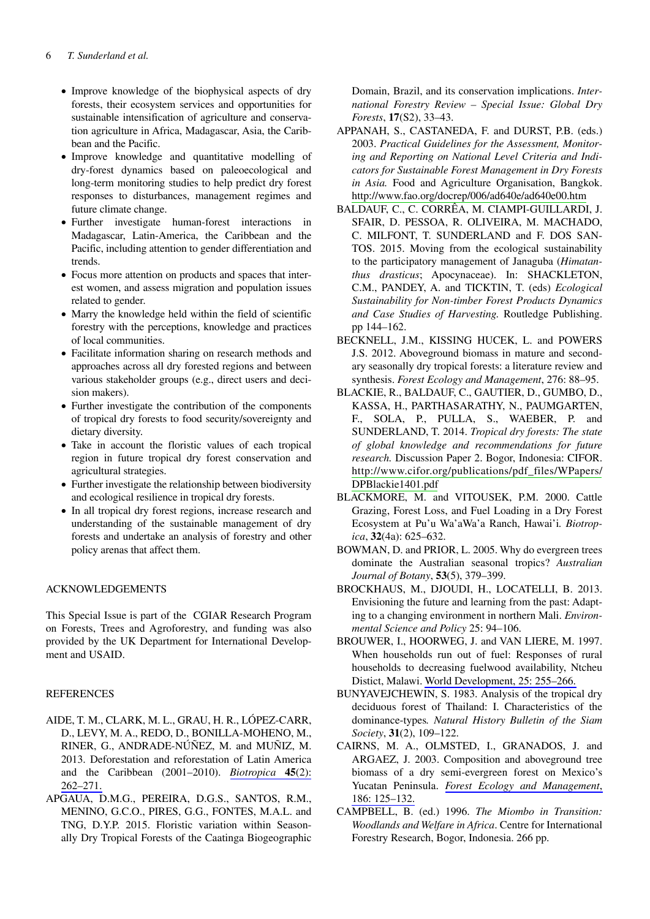- Improve knowledge of the biophysical aspects of dry forests, their ecosystem services and opportunities for sustainable intensification of agriculture and conservation agriculture in Africa, Madagascar, Asia, the Caribbean and the Pacific.
- Improve knowledge and quantitative modelling of dry-forest dynamics based on paleoecological and long-term monitoring studies to help predict dry forest responses to disturbances, management regimes and future climate change.
- Further investigate human-forest interactions in Madagascar, Latin-America, the Caribbean and the Pacific, including attention to gender differentiation and trends.
- Focus more attention on products and spaces that interest women, and assess migration and population issues related to gender.
- Marry the knowledge held within the field of scientific forestry with the perceptions, knowledge and practices of local communities.
- Facilitate information sharing on research methods and approaches across all dry forested regions and between various stakeholder groups (e.g., direct users and decision makers).
- Further investigate the contribution of the components of tropical dry forests to food security/sovereignty and dietary diversity.
- Take in account the floristic values of each tropical region in future tropical dry forest conservation and agricultural strategies.
- Further investigate the relationship between biodiversity and ecological resilience in tropical dry forests.
- In all tropical dry forest regions, increase research and understanding of the sustainable management of dry forests and undertake an analysis of forestry and other policy arenas that affect them.

# ACKNOWLEDGEMENTS

This Special Issue is part of the CGIAR Research Program on Forests, Trees and Agroforestry, and funding was also provided by the UK Department for International Development and USAID.

# REFERENCES

- AIDE, T. M., CLARK, M. L., GRAU, H. R., LÓPEZ-CARR, D., LEVY, M. A., REDO, D., BONILLA-MOHENO, M., RINER, G., ANDRADE-NÚÑEZ, M. and MUÑIZ, M. 2013. Deforestation and reforestation of Latin America and the Caribbean (2001–2010). *[Biotropica](http://www.ingentaconnect.com/content/external-references?article=0006-3606()45:2L.262[aid=10634849])* **45**(2): [262–271.](http://www.ingentaconnect.com/content/external-references?article=0006-3606()45:2L.262[aid=10634849])
- APGAUA, D.M.G., PEREIRA, D.G.S., SANTOS, R.M., MENINO, G.C.O., PIRES, G.G., FONTES, M.A.L. and TNG, D.Y.P. 2015. Floristic variation within Seasonally Dry Tropical Forests of the Caatinga Biogeographic

Domain, Brazil, and its conservation implications. *International Forestry Review – Special Issue: Global Dry Forests*, **17**(S2), 33–43.

- APPANAH, S., CASTANEDA, F. and DURST, P.B. (eds.) 2003. *Practical Guidelines for the Assessment, Monitoring and Reporting on National Level Criteria and Indicators for Sustainable Forest Management in Dry Forests in Asia.* Food and Agriculture Organisation, Bangkok. <http://www.fao.org/docrep/006/ad640e/ad640e00.htm>
- BALDAUF, C., C. CORRÊA, M. CIAMPI-GUILLARDI, J. SFAIR, D. PESSOA, R. OLIVEIRA, M. MACHADO, C. MILFONT, T. SUNDERLAND and F. DOS SAN-TOS. 2015. Moving from the ecological sustainability to the participatory management of Janaguba (*Himatanthus drasticus*; Apocynaceae). In: SHACKLETON, C.M., PANDEY, A. and TICKTIN, T. (eds) *Ecological Sustainability for Non-timber Forest Products Dynamics and Case Studies of Harvesting.* Routledge Publishing. pp 144–162.
- BECKNELL, J.M., KISSING HUCEK, L. and POWERS J.S. 2012. Aboveground biomass in mature and secondary seasonally dry tropical forests: a literature review and synthesis. *Forest Ecology and Management*, 276: 88–95.
- BLACKIE, R., BALDAUF, C., GAUTIER, D., GUMBO, D., KASSA, H., PARTHASARATHY, N., PAUMGARTEN, F., SOLA, P., PULLA, S., WAEBER, P. and SUNDERLAND, T. 2014. *Tropical dry forests: The state of global knowledge and recommendations for future research.* Discussion Paper 2. Bogor, Indonesia: CIFOR. [http://www.cifor.org/publications/pdf\\_files/WPapers/](http://www.cifor.org/publications/pdf_files/WPapers/DPBlackie1401.pdf) [DPBlackie1401.pdf](http://www.cifor.org/publications/pdf_files/WPapers/DPBlackie1401.pdf)
- BLACKMORE, M. and VITOUSEK, P.M. 2000. Cattle Grazing, Forest Loss, and Fuel Loading in a Dry Forest Ecosystem at Pu'u Wa'aWa'a Ranch, Hawai'i*. Biotropica*, **32**(4a): 625–632.
- BOWMAN, D. and PRIOR, L. 2005. Why do evergreen trees dominate the Australian seasonal tropics? *Australian Journal of Botany*, **53**(5), 379–399.
- BROCKHAUS, M., DJOUDI, H., LOCATELLI, B. 2013. Envisioning the future and learning from the past: Adapting to a changing environment in northern Mali. *Environmental Science and Policy* 25: 94–106.
- BROUWER, I., HOORWEG, J. and VAN LIERE, M. 1997. When households run out of fuel: Responses of rural households to decreasing fuelwood availability, Ntcheu Distict, Malawi. [World Development, 25: 255–266.](http://www.ingentaconnect.com/content/external-references?article=0305-750x()25L.255[aid=9747934])
- BUNYAVEJCHEWIN, S. 1983. Analysis of the tropical dry deciduous forest of Thailand: I. Characteristics of the dominance-types*. Natural History Bulletin of the Siam Society*, **31**(2), 109–122.
- CAIRNS, M. A., OLMSTED, I., GRANADOS, J. and ARGAEZ, J. 2003. Composition and aboveground tree biomass of a dry semi-evergreen forest on Mexico's Yucatan Peninsula. *[Forest Ecology and Management](http://www.ingentaconnect.com/content/external-references?article=0378-1127()186L.125[aid=10634850])*, [186: 125–132.](http://www.ingentaconnect.com/content/external-references?article=0378-1127()186L.125[aid=10634850])
- CAMPBELL, B. (ed.) 1996. *The Miombo in Transition: Woodlands and Welfare in Africa*. Centre for International Forestry Research, Bogor, Indonesia. 266 pp.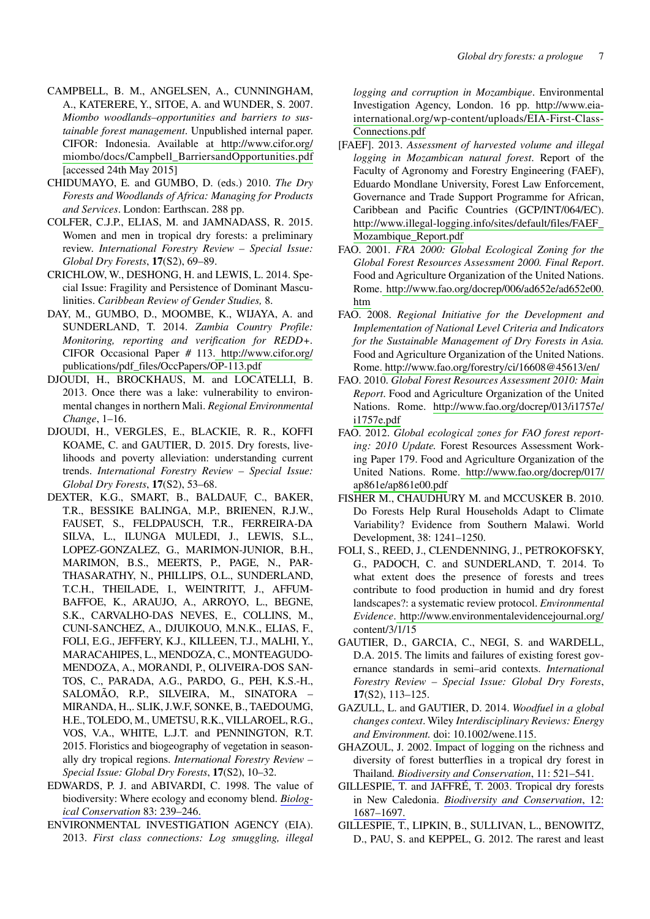- CAMPBELL, B. M., ANGELSEN, A., CUNNINGHAM, A., KATERERE, Y., SITOE, A. and WUNDER, S. 2007. *Miombo woodlands–opportunities and barriers to sustainable forest management*. Unpublished internal paper. CIFOR: Indonesia. Available at [http://www.cifor.org/](http://www.cifor.org/miombo/docs/Campbell_BarriersandOpportunities.pdf) [miombo/docs/Campbell\\_BarriersandOpportunities.pdf](http://www.cifor.org/miombo/docs/Campbell_BarriersandOpportunities.pdf) [accessed 24th May 2015]
- CHIDUMAYO, E*.* and GUMBO, D. (eds.) 2010. *The Dry Forests and Woodlands of Africa: Managing for Products and Services*. London: Earthscan. 288 pp.
- COLFER, C.J.P., ELIAS, M. and JAMNADASS, R. 2015. Women and men in tropical dry forests: a preliminary review. *International Forestry Review – Special Issue: Global Dry Forests*, **17**(S2), 69–89.
- CRICHLOW, W., DESHONG, H. and LEWIS, L. 2014. Special Issue: Fragility and Persistence of Dominant Masculinities. *Caribbean Review of Gender Studies,* 8.
- DAY, M., GUMBO, D., MOOMBE, K., WIJAYA, A. and SUNDERLAND, T. 2014. *Zambia Country Profile: Monitoring, reporting and verification for REDD+.* CIFOR Occasional Paper # 113[. http://www.cifor.org/](http://www.cifor.org/publications/pdf_files/OccPapers/OP-113.pdf) [publications/pdf\\_files/OccPapers/OP-113.pdf](http://www.cifor.org/publications/pdf_files/OccPapers/OP-113.pdf)
- DJOUDI, H., BROCKHAUS, M. and LOCATELLI, B. 2013. Once there was a lake: vulnerability to environmental changes in northern Mali. *Regional Environmental Change*, 1–16.
- DJOUDI, H., VERGLES, E., BLACKIE, R. R., KOFFI KOAME, C. and GAUTIER, D. 2015. Dry forests, livelihoods and poverty alleviation: understanding current trends. *International Forestry Review – Special Issue: Global Dry Forests*, **17**(S2), 53–68.
- DEXTER, K.G., SMART, B., BALDAUF, C., BAKER, T.R., BESSIKE BALINGA, M.P., BRIENEN, R.J.W., FAUSET, S., FELDPAUSCH, T.R., FERREIRA-DA SILVA, L., ILUNGA MULEDI, J., LEWIS, S.L., LOPEZ-GONZALEZ, G., MARIMON-JUNIOR, B.H., MARIMON, B.S., MEERTS, P., PAGE, N., PAR-THASARATHY, N., PHILLIPS, O.L., SUNDERLAND, T.C.H., THEILADE, I., WEINTRITT, J., AFFUM-BAFFOE, K., ARAUJO, A., ARROYO, L., BEGNE, S.K., CARVALHO-DAS NEVES, E., COLLINS, M., CUNI-SANCHEZ, A., DJUIKOUO, M.N.K., ELIAS, F., FOLI, E.G., JEFFERY, K.J., KILLEEN, T.J., MALHI, Y., MARACAHIPES, L., MENDOZA, C., MONTEAGUDO-MENDOZA, A., MORANDI, P., OLIVEIRA-DOS SAN-TOS, C., PARADA, A.G., PARDO, G., PEH, K.S.-H., SALOMÃO, R.P., SILVEIRA, M., SINATORA – MIRANDA, H.,. SLIK, J.W.F, SONKE, B., TAEDOUMG, H.E., TOLEDO, M., UMETSU, R.K., VILLAROEL, R.G., VOS, V.A., WHITE, L.J.T. and PENNINGTON, R.T. 2015. Floristics and biogeography of vegetation in seasonally dry tropical regions. *International Forestry Review – Special Issue: Global Dry Forests*, **17**(S2), 10–32.
- EDWARDS, P. J. and ABIVARDI, C. 1998. The value of biodiversity: Where ecology and economy blend. *[Biolog](http://www.ingentaconnect.com/content/external-references?article=0006-3207()83L.239[aid=10634856])[ical Conservation](http://www.ingentaconnect.com/content/external-references?article=0006-3207()83L.239[aid=10634856])* 83: 239–246.
- ENVIRONMENTAL INVESTIGATION AGENCY (EIA). 2013. *First class connections: Log smuggling, illegal*

*logging and corruption in Mozambique*. Environmental Investigation Agency, London. 16 pp[. http://www.eia](http://www.eia-international.org/wp-content/uploads/EIA-First-Class-Connections.pdf)[international.org/wp-content/uploads/EIA-First-Class-](http://www.eia-international.org/wp-content/uploads/EIA-First-Class-Connections.pdf)[Connections.pdf](http://www.eia-international.org/wp-content/uploads/EIA-First-Class-Connections.pdf)

- [FAEF]. 2013. *Assessment of harvested volume and illegal logging in Mozambican natural forest*. Report of the Faculty of Agronomy and Forestry Engineering (FAEF), Eduardo Mondlane University, Forest Law Enforcement, Governance and Trade Support Programme for African, Caribbean and Pacific Countries (GCP/INT/064/EC). [http://www.illegal-logging.info/sites/default/files/FAEF\\_](http://www.illegal-logging.info/sites/default/files/FAEF_Mozambique_Report.pdf) [Mozambique\\_Report.pdf](http://www.illegal-logging.info/sites/default/files/FAEF_Mozambique_Report.pdf)
- FAO. 2001. *FRA 2000: Global Ecological Zoning for the Global Forest Resources Assessment 2000. Final Report*. Food and Agriculture Organization of the United Nations. Rome[. http://www.fao.org/docrep/006/ad652e/ad652e00.](http://www.fao.org/docrep/006/ad652e/ad652e00.htm) [htm](http://www.fao.org/docrep/006/ad652e/ad652e00.htm)
- FAO. 2008. *Regional Initiative for the Development and Implementation of National Level Criteria and Indicators for the Sustainable Management of Dry Forests in Asia.*  Food and Agriculture Organization of the United Nations. Rome[. http://www.fao.org/forestry/ci/16608@45613/en/](http://www.fao.org/forestry/ci/16608@45613/en/)
- FAO. 2010. *Global Forest Resources Assessment 2010: Main Report*. Food and Agriculture Organization of the United Nations. Rome. [http://www.fao.org/docrep/013/i1757e/](http://www.fao.org/docrep/013/i1757e/i1757e.pdf) [i1757e.pdf](http://www.fao.org/docrep/013/i1757e/i1757e.pdf)
- FAO. 2012. *Global ecological zones for FAO forest reporting: 2010 Update.* Forest Resources Assessment Working Paper 179. Food and Agriculture Organization of the United Nations. Rome. [http://www.fao.org/docrep/017/](http://www.fao.org/docrep/017/ap861e/ap861e00.pdf) [ap861e/ap861e00.pdf](http://www.fao.org/docrep/017/ap861e/ap861e00.pdf)
- FISHER M., CHAUDHURY M. and MCCUSKER B. 2010. Do Forests Help Rural Households Adapt to Climate Variability? Evidence from Southern Malawi. World Development, 38: 1241–1250.
- FOLI, S., REED, J., CLENDENNING, J., PETROKOFSKY, G., PADOCH, C. and SUNDERLAND, T. 2014. To what extent does the presence of forests and trees contribute to food production in humid and dry forest landscapes?: a systematic review protocol. *Environmental Evidence*.<http://www.environmentalevidencejournal.org/> content/3/1/15
- GAUTIER, D., GARCIA, C., NEGI, S. and WARDELL, D.A. 2015. The limits and failures of existing forest governance standards in semi–arid contexts. *International Forestry Review – Special Issue: Global Dry Forests*, **17**(S2), 113–125.
- GAZULL, L. and GAUTIER, D. 2014. *Woodfuel in a global changes context*. Wiley *Interdisciplinary Reviews: Energy and Environment.* [doi: 10.1002/wene.115.](http://dx.doi.org/10.1002/wene.115)
- GHAZOUL, J. 2002. Impact of logging on the richness and diversity of forest butterflies in a tropical dry forest in Thailand*[. Biodiversity and Conservation](http://www.ingentaconnect.com/content/external-references?article=0960-3115()11L.521[aid=10634855])*, 11: 521–541.
- GILLESPIE, T. and JAFFRÉ, T. 2003. Tropical dry forests in New Caledonia. *[Biodiversity and Conservation](http://www.ingentaconnect.com/content/external-references?article=0960-3115()12L.1687[aid=7846190])*, 12: [1687–1697.](http://www.ingentaconnect.com/content/external-references?article=0960-3115()12L.1687[aid=7846190])
- GILLESPIE, T., LIPKIN, B., SULLIVAN, L., BENOWITZ, D., PAU, S. and KEPPEL, G. 2012. The rarest and least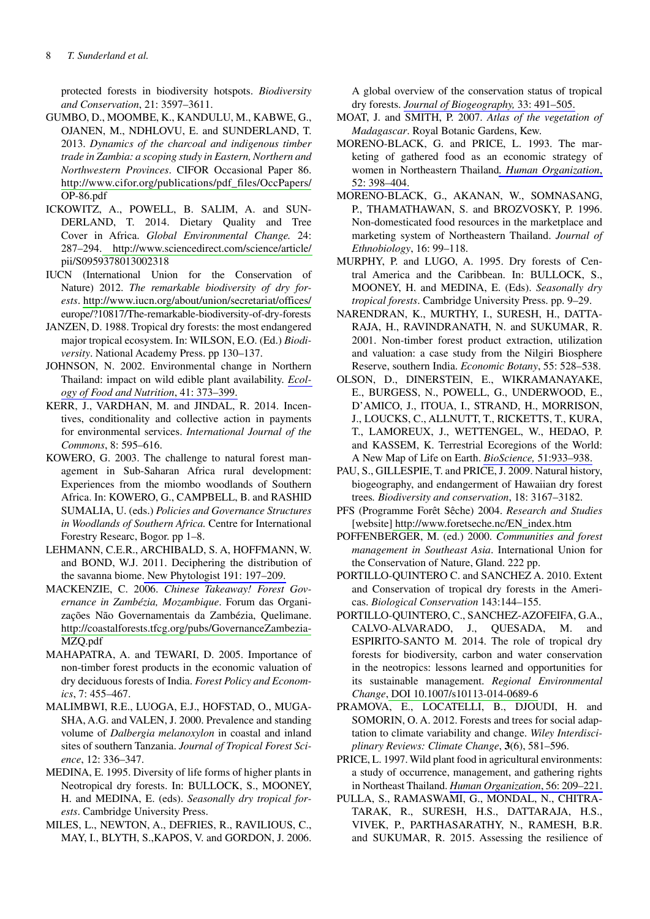protected forests in biodiversity hotspots. *Biodiversity and Conservation*, 21: 3597–3611.

- GUMBO, D., MOOMBE, K., KANDULU, M., KABWE, G., OJANEN, M., NDHLOVU, E. and SUNDERLAND, T. 2013. *Dynamics of the charcoal and indigenous timber trade in Zambia: a scoping study in Eastern, Northern and Northwestern Provinces*. CIFOR Occasional Paper 86. [http://www.cifor.org/publications/pdf\\_files/OccPapers/](http://www.cifor.org/publications/pdf_files/OccPapers/OP-86.pdf) OP-86.pdf
- ICKOWITZ, A., POWELL, B. SALIM, A. and SUN-DERLAND, T. 2014. Dietary Quality and Tree Cover in Africa. *Global Environmental Change.* 24: 287–294.<http://www.sciencedirect.com/science/article/> pii/S0959378013002318
- IUCN (International Union for the Conservation of Nature) 2012. *The remarkable biodiversity of dry forests*.<http://www.iucn.org/about/union/secretariat/offices/> europe/?10817/The-remarkable-biodiversity-of-dry-forests
- JANZEN, D. 1988. Tropical dry forests: the most endangered major tropical ecosystem. In: WILSON, E.O. (Ed.) *Biodiversity*. National Academy Press. pp 130–137.
- JOHNSON, N. 2002. Environmental change in Northern Thailand: impact on wild edible plant availability. *[Ecol](http://www.ingentaconnect.com/content/external-references?article=0367-0244()41L.373[aid=9747956])[ogy of Food and Nutrition](http://www.ingentaconnect.com/content/external-references?article=0367-0244()41L.373[aid=9747956])*, 41: 373–399.
- KERR, J., VARDHAN, M. and JINDAL, R. 2014. Incentives, conditionality and collective action in payments for environmental services. *International Journal of the Commons*, 8: 595–616.
- KOWERO, G. 2003. The challenge to natural forest management in Sub-Saharan Africa rural development: Experiences from the miombo woodlands of Southern Africa. In: KOWERO, G., CAMPBELL, B. and RASHID SUMALIA, U. (eds.) *Policies and Governance Structures in Woodlands of Southern Africa.* Centre for International Forestry Researc, Bogor. pp 1–8.
- LEHMANN, C.E.R., ARCHIBALD, S. A, HOFFMANN, W. and BOND, W.J. 2011. Deciphering the distribution of the savanna biome[. New Phytologist 191: 197–209.](http://www.ingentaconnect.com/content/external-references?article=0028-646x()191L.197[aid=10634866])
- MACKENZIE, C. 2006. *Chinese Takeaway! Forest Governance in Zambézia, Mozambique*. Forum das Organizações Não Governamentais da Zambézia, Quelimane. [http://coastalforests.tfcg.org/pubs/GovernanceZambezia-](http://coastalforests.tfcg.org/pubs/GovernanceZambezia-MZQ.pdf)MZQ.pdf
- MAHAPATRA, A. and TEWARI, D. 2005. Importance of non-timber forest products in the economic valuation of dry deciduous forests of India. *Forest Policy and Economics*, 7: 455–467.
- MALIMBWI, R.E., LUOGA, E.J., HOFSTAD, O., MUGA-SHA, A.G. and VALEN, J. 2000. Prevalence and standing volume of *Dalbergia melanoxylon* in coastal and inland sites of southern Tanzania. *Journal of Tropical Forest Science*, 12: 336–347.
- MEDINA, E. 1995. Diversity of life forms of higher plants in Neotropical dry forests. In: BULLOCK, S., MOONEY, H. and MEDINA, E. (eds). *Seasonally dry tropical forests*. Cambridge University Press.
- MILES, L., NEWTON, A., DEFRIES, R., RAVILIOUS, C., MAY, I., BLYTH, S.,KAPOS, V. and GORDON, J. 2006.

A global overview of the conservation status of tropical dry forests. *[Journal of Biogeography,](http://www.ingentaconnect.com/content/external-references?article=0305-0270()33L.491[aid=10634029])* 33: 491–505.

- MOAT, J. and SMITH, P. 2007. *Atlas of the vegetation of Madagascar*. Royal Botanic Gardens, Kew.
- MORENO-BLACK, G. and PRICE, L. 1993. The marketing of gathered food as an economic strategy of women in Northeastern Thailand*[. Human Organization](http://www.ingentaconnect.com/content/external-references?article=0018-7259()52L.398[aid=3501503])*, [52: 398–404.](http://www.ingentaconnect.com/content/external-references?article=0018-7259()52L.398[aid=3501503])
- MORENO-BLACK, G., AKANAN, W., SOMNASANG, P., THAMATHAWAN, S. and BROZVOSKY, P. 1996. Non-domesticated food resources in the marketplace and marketing system of Northeastern Thailand. *Journal of Ethnobiology*, 16: 99–118.
- MURPHY, P. and LUGO, A. 1995. Dry forests of Central America and the Caribbean. In: BULLOCK, S., MOONEY, H. and MEDINA, E. (Eds). *Seasonally dry tropical forests*. Cambridge University Press. pp. 9–29.
- NARENDRAN, K., MURTHY, I., SURESH, H., DATTA-RAJA, H., RAVINDRANATH, N. and SUKUMAR, R. 2001. Non-timber forest product extraction, utilization and valuation: a case study from the Nilgiri Biosphere Reserve, southern India. *Economic Botany*, 55: 528–538.
- OLSON, D., DINERSTEIN, E., WIKRAMANAYAKE, E., BURGESS, N., POWELL, G., UNDERWOOD, E., D'AMICO, J., ITOUA, I., STRAND, H., MORRISON, J., LOUCKS, C., ALLNUTT, T., RICKETTS, T., KURA, T., LAMOREUX, J., WETTENGEL, W., HEDAO, P. and KASSEM, K. Terrestrial Ecoregions of the World: A New Map of Life on Earth. *BioScience,* [51:933–938.](http://www.ingentaconnect.com/content/external-references?article=0006-3568()51L.933[aid=2338848])
- PAU, S., GILLESPIE, T. and PRICE, J. 2009. Natural history, biogeography, and endangerment of Hawaiian dry forest trees*. Biodiversity and conservation*, 18: 3167–3182.
- PFS (Programme Forêt Sêche) 2004. *Research and Studies* [website] [http://www.foretseche.nc/EN\\_index.htm](http://www.foretseche.nc/EN_index.htm)
- POFFENBERGER, M. (ed.) 2000. *Communities and forest management in Southeast Asia*. International Union for the Conservation of Nature, Gland. 222 pp.
- PORTILLO-QUINTERO C. and SANCHEZ A. 2010. Extent and Conservation of tropical dry forests in the Americas. *Biological Conservation* 143:144–155.
- PORTILLO-QUINTERO, C., SANCHEZ-AZOFEIFA, G.A., CALVO-ALVARADO, J., QUESADA, M. and ESPIRITO-SANTO M. 2014. The role of tropical dry forests for biodiversity, carbon and water conservation in the neotropics: lessons learned and opportunities for its sustainable management. *Regional Environmental Change*, [DOI 10.1007/s10113-014-0689-6](http://dx.doi.org/10.1007/s10113-014-0689-6)
- PRAMOVA, E., LOCATELLI, B., DJOUDI, H. and SOMORIN, O. A. 2012. Forests and trees for social adaptation to climate variability and change. *Wiley Interdisciplinary Reviews: Climate Change*, **3**(6), 581–596.
- PRICE, L. 1997. Wild plant food in agricultural environments: a study of occurrence, management, and gathering rights in Northeast Thailand. *[Human Organization](http://www.ingentaconnect.com/content/external-references?article=0018-7259()56L.209[aid=3501509])*, 56: 209–221.
- PULLA, S., RAMASWAMI, G., MONDAL, N., CHITRA-TARAK, R., SURESH, H.S., DATTARAJA, H.S., VIVEK, P., PARTHASARATHY, N., RAMESH, B.R. and SUKUMAR, R. 2015. Assessing the resilience of